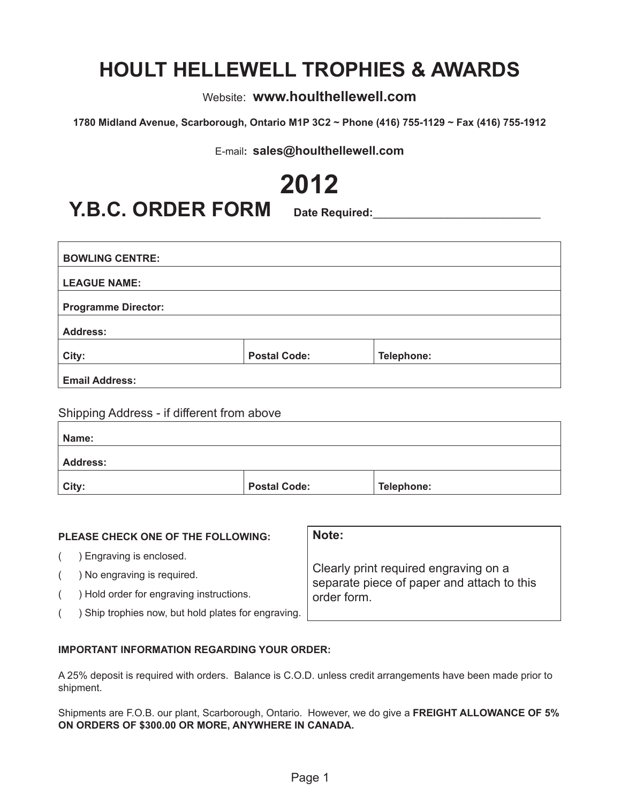# **HOULT HELLEWELL TROPHIES & AWARDS**

Website: **www.houlthellewell.com**

**1780 Midland Avenue, Scarborough, Ontario M1P 3C2 ~ Phone (416) 755-1129 ~ Fax (416) 755-1912**

E-mail**: sales@houlthellewell.com**

**2012**

**Y.B.C. ORDER FORM** Date Required:

| <b>Email Address:</b>      |                     |            |  |
|----------------------------|---------------------|------------|--|
| City:                      | <b>Postal Code:</b> | Telephone: |  |
| <b>Address:</b>            |                     |            |  |
| <b>Programme Director:</b> |                     |            |  |
| <b>LEAGUE NAME:</b>        |                     |            |  |
| <b>BOWLING CENTRE:</b>     |                     |            |  |
|                            |                     |            |  |

Shipping Address - if different from above

| Name:           |                     |            |
|-----------------|---------------------|------------|
| <b>Address:</b> |                     |            |
| City:           | <b>Postal Code:</b> | Telephone: |

| <b>PLEASE CHECK ONE OF THE FOLLOWING:</b>         | Note:                                                                               |  |  |  |  |
|---------------------------------------------------|-------------------------------------------------------------------------------------|--|--|--|--|
| Engraving is enclosed.                            |                                                                                     |  |  |  |  |
| ) No engraving is required.                       | Clearly print required engraving on a<br>separate piece of paper and attach to this |  |  |  |  |
| Hold order for engraving instructions.            | order form.                                                                         |  |  |  |  |
| Ship trophies now, but hold plates for engraving. |                                                                                     |  |  |  |  |

#### **IMPORTANT INFORMATION REGARDING YOUR ORDER:**

A 25% deposit is required with orders. Balance is C.O.D. unless credit arrangements have been made prior to shipment.

Shipments are F.O.B. our plant, Scarborough, Ontario. However, we do give a **FREIGHT ALLOWANCE OF 5% ON ORDERS OF \$300.00 OR MORE, ANYWHERE IN CANADA.**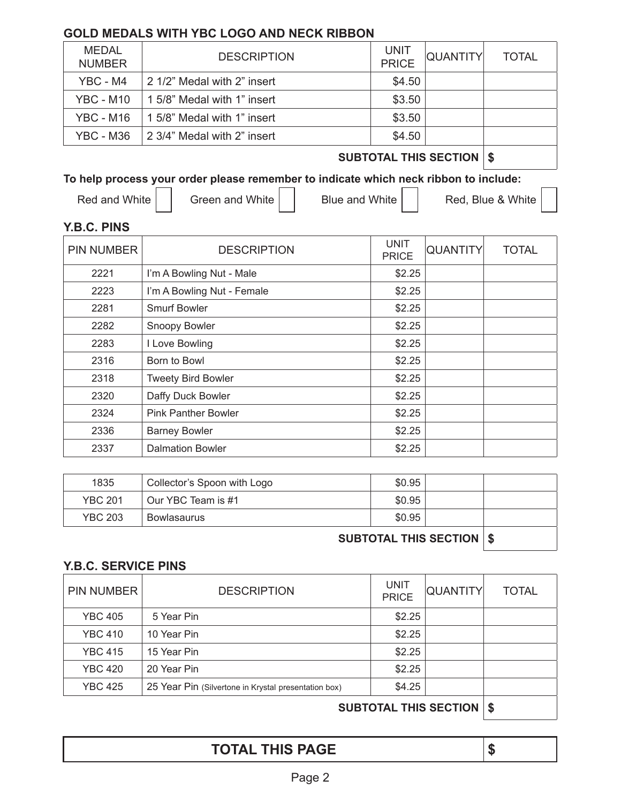### **GOLD MEDALS WITH YBC LOGO AND NECK RIBBON**

| MEDAL<br><b>NUMBER</b> | <b>DESCRIPTION</b>          | <b>UNIT</b><br><b>PRICE</b> | <b>QUANTITY</b> | <b>TOTAL</b> |
|------------------------|-----------------------------|-----------------------------|-----------------|--------------|
| YBC - M4               | 2 1/2" Medal with 2" insert | \$4.50                      |                 |              |
| $YBC - M10$            | 1 5/8" Medal with 1" insert | \$3.50                      |                 |              |
| YBC - M16              | 1 5/8" Medal with 1" insert | \$3.50                      |                 |              |
| YBC - M36              | 2 3/4" Medal with 2" insert | \$4.50                      |                 |              |

### **SUBTOTAL THIS SECTION \$**

### **To help process your order please remember to indicate which neck ribbon to include:**

Red and White  $\vert$  Green and White  $\vert$  Blue and White  $\vert$  Red, Blue & White

### **Y.B.C. PINS**

| <b>PIN NUMBER</b> | <b>DESCRIPTION</b>         | <b>UNIT</b><br><b>PRICE</b> | <b>QUANTITY</b> | <b>TOTAL</b> |
|-------------------|----------------------------|-----------------------------|-----------------|--------------|
| 2221              | I'm A Bowling Nut - Male   | \$2.25                      |                 |              |
| 2223              | I'm A Bowling Nut - Female | \$2.25                      |                 |              |
| 2281              | Smurf Bowler               | \$2.25                      |                 |              |
| 2282              | Snoopy Bowler              | \$2.25                      |                 |              |
| 2283              | I Love Bowling             | \$2.25                      |                 |              |
| 2316              | Born to Bowl               | \$2.25                      |                 |              |
| 2318              | <b>Tweety Bird Bowler</b>  | \$2.25                      |                 |              |
| 2320              | Daffy Duck Bowler          | \$2.25                      |                 |              |
| 2324              | <b>Pink Panther Bowler</b> | \$2.25                      |                 |              |
| 2336              | <b>Barney Bowler</b>       | \$2.25                      |                 |              |
| 2337              | <b>Dalmation Bowler</b>    | \$2.25                      |                 |              |

| 1835           | Collector's Spoon with Logo | \$0.95 |  |
|----------------|-----------------------------|--------|--|
| <b>YBC 201</b> | Our YBC Team is #1          | \$0.95 |  |
| <b>YBC 203</b> | <b>Bowlasaurus</b>          | \$0.95 |  |
|                |                             |        |  |

**SUBTOTAL THIS SECTION \$**

#### **Y.B.C. SERVICE PINS**

| <b>PIN NUMBER</b>       | <b>DESCRIPTION</b>                                   | <b>UNIT</b><br><b>PRICE</b> | <b>QUANTITY</b> | <b>TOTAL</b> |  |  |  |
|-------------------------|------------------------------------------------------|-----------------------------|-----------------|--------------|--|--|--|
| <b>YBC 405</b>          | 5 Year Pin                                           | \$2.25                      |                 |              |  |  |  |
| <b>YBC 410</b>          | 10 Year Pin                                          | \$2.25                      |                 |              |  |  |  |
| <b>YBC 415</b>          | 15 Year Pin                                          | \$2.25                      |                 |              |  |  |  |
| <b>YBC 420</b>          | 20 Year Pin                                          | \$2.25                      |                 |              |  |  |  |
| <b>YBC 425</b>          | 25 Year Pin (Silvertone in Krystal presentation box) | \$4.25                      |                 |              |  |  |  |
| CUDTOTAL TUIC CECTION & |                                                      |                             |                 |              |  |  |  |

**SUBTOTAL THIS SECTION \$**

**TOTAL THIS PAGE \$**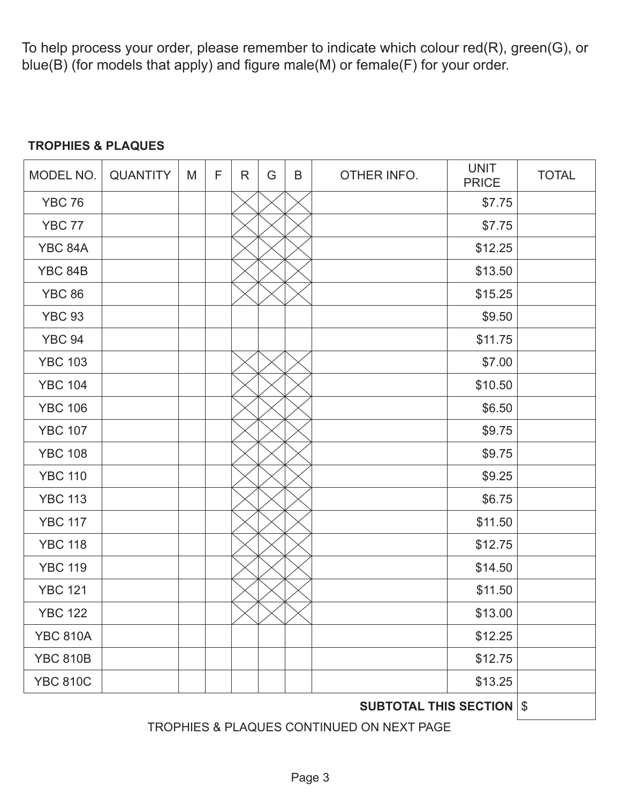To help process your order, please remember to indicate which colour red(R), green(G), or blue(B) (for models that apply) and figure male(M) or female(F) for your order.

### **TROPHIES & PLAQUES**

| MODEL NO.                       | <b>QUANTITY</b> | M | F | R | G | B | OTHER INFO. | <b>UNIT</b><br><b>PRICE</b> | <b>TOTAL</b> |
|---------------------------------|-----------------|---|---|---|---|---|-------------|-----------------------------|--------------|
| <b>YBC 76</b>                   |                 |   |   |   |   |   |             | \$7.75                      |              |
| <b>YBC 77</b>                   |                 |   |   |   |   |   |             | \$7.75                      |              |
| YBC 84A                         |                 |   |   |   |   |   |             | \$12.25                     |              |
| YBC 84B                         |                 |   |   |   |   |   |             | \$13.50                     |              |
| <b>YBC 86</b>                   |                 |   |   |   |   |   |             | \$15.25                     |              |
| <b>YBC 93</b>                   |                 |   |   |   |   |   |             | \$9.50                      |              |
| <b>YBC 94</b>                   |                 |   |   |   |   |   |             | \$11.75                     |              |
| <b>YBC 103</b>                  |                 |   |   |   |   |   |             | \$7.00                      |              |
| <b>YBC 104</b>                  |                 |   |   |   |   |   |             | \$10.50                     |              |
| <b>YBC 106</b>                  |                 |   |   |   |   |   |             | \$6.50                      |              |
| <b>YBC 107</b>                  |                 |   |   |   |   |   |             | \$9.75                      |              |
| <b>YBC 108</b>                  |                 |   |   |   |   |   |             | \$9.75                      |              |
| <b>YBC 110</b>                  |                 |   |   |   |   |   |             | \$9.25                      |              |
| <b>YBC 113</b>                  |                 |   |   |   |   |   |             | \$6.75                      |              |
| <b>YBC 117</b>                  |                 |   |   |   |   |   |             | \$11.50                     |              |
| <b>YBC 118</b>                  |                 |   |   |   |   |   |             | \$12.75                     |              |
| <b>YBC 119</b>                  |                 |   |   |   |   |   |             | \$14.50                     |              |
| <b>YBC 121</b>                  |                 |   |   |   |   |   |             | \$11.50                     |              |
| <b>YBC 122</b>                  |                 |   |   |   |   |   |             | \$13.00                     |              |
| <b>YBC 810A</b>                 |                 |   |   |   |   |   |             | \$12.25                     |              |
| <b>YBC 810B</b>                 |                 |   |   |   |   |   |             | \$12.75                     |              |
| <b>YBC 810C</b>                 |                 |   |   |   |   |   |             | \$13.25                     |              |
| <b>SUBTOTAL THIS SECTION \$</b> |                 |   |   |   |   |   |             |                             |              |

TROPHIES & PLAQUES CONTINUED ON NEXT PAGE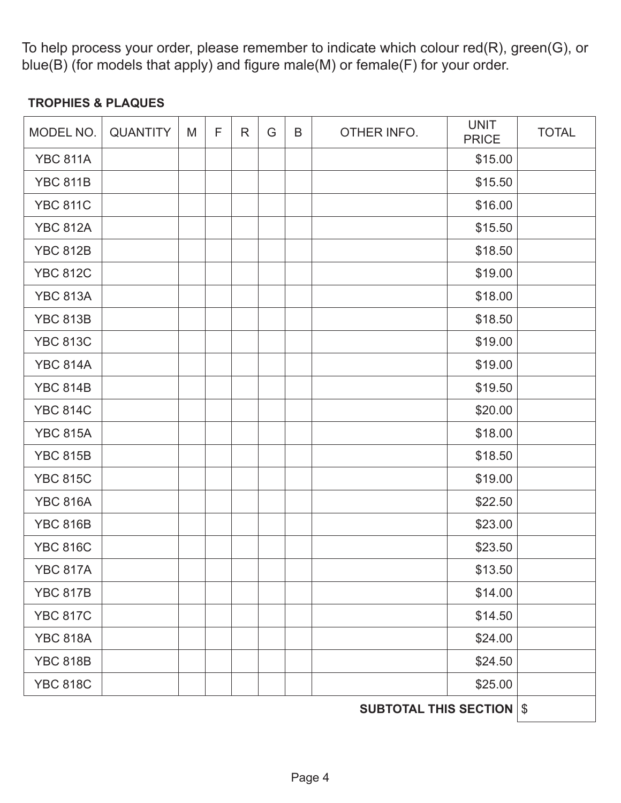To help process your order, please remember to indicate which colour red(R), green(G), or blue(B) (for models that apply) and figure male(M) or female(F) for your order.

### **TROPHIES & PLAQUES**

| MODEL NO.       | <b>QUANTITY</b> | M | F | R | G | B | OTHER INFO. | <b>UNIT</b><br><b>PRICE</b> | <b>TOTAL</b> |
|-----------------|-----------------|---|---|---|---|---|-------------|-----------------------------|--------------|
| <b>YBC 811A</b> |                 |   |   |   |   |   |             | \$15.00                     |              |
| <b>YBC 811B</b> |                 |   |   |   |   |   |             | \$15.50                     |              |
| <b>YBC 811C</b> |                 |   |   |   |   |   |             | \$16.00                     |              |
| <b>YBC 812A</b> |                 |   |   |   |   |   |             | \$15.50                     |              |
| <b>YBC 812B</b> |                 |   |   |   |   |   |             | \$18.50                     |              |
| <b>YBC 812C</b> |                 |   |   |   |   |   |             | \$19.00                     |              |
| <b>YBC 813A</b> |                 |   |   |   |   |   |             | \$18.00                     |              |
| <b>YBC 813B</b> |                 |   |   |   |   |   |             | \$18.50                     |              |
| <b>YBC 813C</b> |                 |   |   |   |   |   |             | \$19.00                     |              |
| <b>YBC 814A</b> |                 |   |   |   |   |   |             | \$19.00                     |              |
| <b>YBC 814B</b> |                 |   |   |   |   |   |             | \$19.50                     |              |
| <b>YBC 814C</b> |                 |   |   |   |   |   |             | \$20.00                     |              |
| <b>YBC 815A</b> |                 |   |   |   |   |   |             | \$18.00                     |              |
| <b>YBC 815B</b> |                 |   |   |   |   |   |             | \$18.50                     |              |
| <b>YBC 815C</b> |                 |   |   |   |   |   |             | \$19.00                     |              |
| <b>YBC 816A</b> |                 |   |   |   |   |   |             | \$22.50                     |              |
| <b>YBC 816B</b> |                 |   |   |   |   |   |             | \$23.00                     |              |
| <b>YBC 816C</b> |                 |   |   |   |   |   |             | \$23.50                     |              |
| <b>YBC 817A</b> |                 |   |   |   |   |   |             | \$13.50                     |              |
| <b>YBC 817B</b> |                 |   |   |   |   |   |             | \$14.00                     |              |
| <b>YBC 817C</b> |                 |   |   |   |   |   |             | \$14.50                     |              |
| <b>YBC 818A</b> |                 |   |   |   |   |   |             | \$24.00                     |              |
| <b>YBC 818B</b> |                 |   |   |   |   |   |             | \$24.50                     |              |
| <b>YBC 818C</b> |                 |   |   |   |   |   |             | \$25.00                     |              |

**SUBTOTAL THIS SECTION \$**